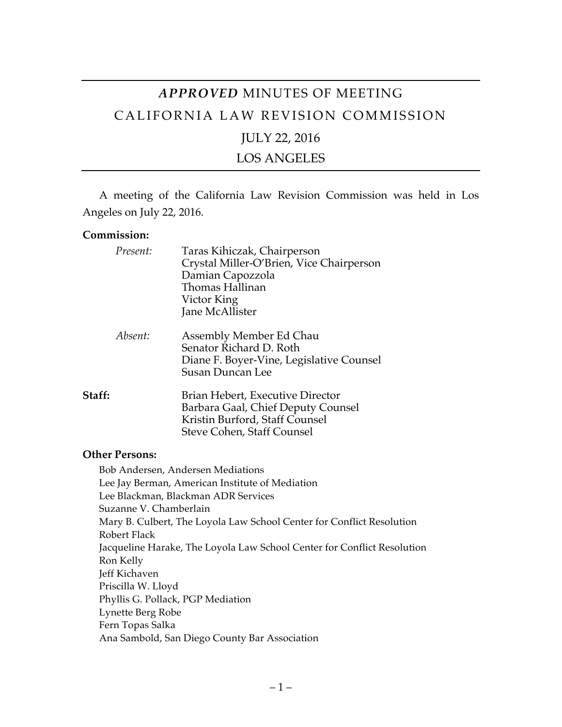# *APPROVED* MINUTES OF MEETING CALIFORNIA LAW REVISION COMMISSION JULY 22, 2016

LOS ANGELES

A meeting of the California Law Revision Commission was held in Los Angeles on July 22, 2016.

#### **Commission:**

| Present: | Taras Kihiczak, Chairperson<br>Crystal Miller-O'Brien, Vice Chairperson<br>Damian Capozzola<br>Thomas Hallinan<br>Victor King<br>Jane McAllister |
|----------|--------------------------------------------------------------------------------------------------------------------------------------------------|
| Absent:  | Assembly Member Ed Chau<br>Senator Richard D. Roth<br>Diane F. Boyer-Vine, Legislative Counsel<br><b>Susan Duncan Lee</b>                        |
| Staff:   | Brian Hebert, Executive Director<br>Barbara Gaal, Chief Deputy Counsel<br>Kristin Burford, Staff Counsel<br>Steve Cohen, Staff Counsel           |

#### **Other Persons:**

Bob Andersen, Andersen Mediations Lee Jay Berman, American Institute of Mediation Lee Blackman, Blackman ADR Services Suzanne V. Chamberlain Mary B. Culbert, The Loyola Law School Center for Conflict Resolution Robert Flack Jacqueline Harake, The Loyola Law School Center for Conflict Resolution Ron Kelly Jeff Kichaven Priscilla W. Lloyd Phyllis G. Pollack, PGP Mediation Lynette Berg Robe Fern Topas Salka Ana Sambold, San Diego County Bar Association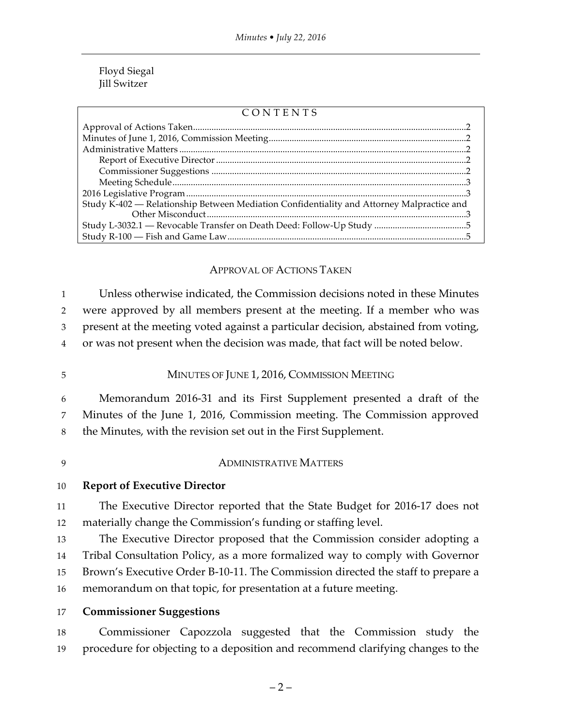#### Floyd Siegal Jill Switzer

#### CONTENTS

| Study K-402 — Relationship Between Mediation Confidentiality and Attorney Malpractice and |  |
|-------------------------------------------------------------------------------------------|--|
|                                                                                           |  |
|                                                                                           |  |

## APPROVAL OF ACTIONS TAKEN

 Unless otherwise indicated, the Commission decisions noted in these Minutes were approved by all members present at the meeting. If a member who was present at the meeting voted against a particular decision, abstained from voting, or was not present when the decision was made, that fact will be noted below.

## 5 MINUTES OF JUNE 1, 2016, COMMISSION MEETING

6 Memorandum 2016-31 and its First Supplement presented a draft of the 7 Minutes of the June 1, 2016, Commission meeting. The Commission approved 8 the Minutes, with the revision set out in the First Supplement.

## 9 ADMINISTRATIVE MATTERS

#### 10 **Report of Executive Director**

11 The Executive Director reported that the State Budget for 2016-17 does not 12 materially change the Commission's funding or staffing level.

 The Executive Director proposed that the Commission consider adopting a Tribal Consultation Policy, as a more formalized way to comply with Governor Brown's Executive Order B-10-11. The Commission directed the staff to prepare a memorandum on that topic, for presentation at a future meeting.

## 17 **Commissioner Suggestions**

18 Commissioner Capozzola suggested that the Commission study the 19 procedure for objecting to a deposition and recommend clarifying changes to the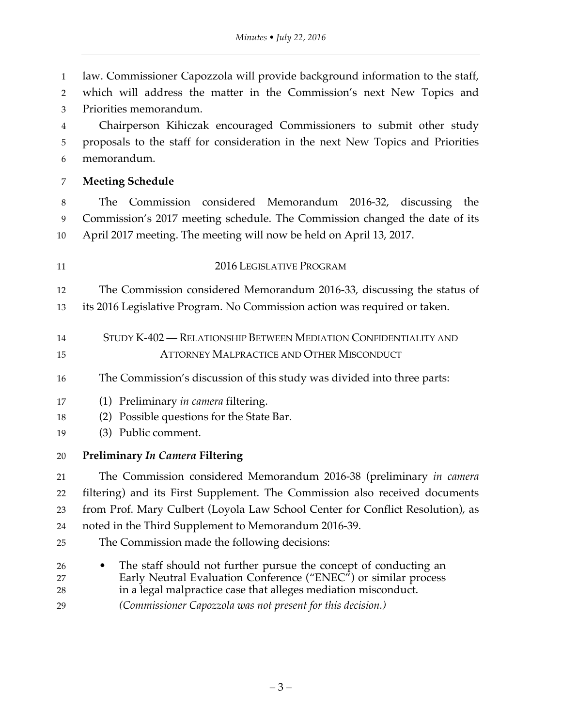law. Commissioner Capozzola will provide background information to the staff, which will address the matter in the Commission's next New Topics and Priorities memorandum. Chairperson Kihiczak encouraged Commissioners to submit other study proposals to the staff for consideration in the next New Topics and Priorities memorandum. **Meeting Schedule** The Commission considered Memorandum 2016-32, discussing the Commission's 2017 meeting schedule. The Commission changed the date of its April 2017 meeting. The meeting will now be held on April 13, 2017. 2016 LEGISLATIVE PROGRAM The Commission considered Memorandum 2016-33, discussing the status of its 2016 Legislative Program. No Commission action was required or taken. STUDY K-402 — RELATIONSHIP BETWEEN MEDIATION CONFIDENTIALITY AND **ATTORNEY MALPRACTICE AND OTHER MISCONDUCT**  The Commission's discussion of this study was divided into three parts: (1) Preliminary *in camera* filtering. (2) Possible questions for the State Bar. (3) Public comment. **Preliminary** *In Camera* **Filtering** The Commission considered Memorandum 2016-38 (preliminary *in camera*  filtering) and its First Supplement. The Commission also received documents from Prof. Mary Culbert (Loyola Law School Center for Conflict Resolution), as noted in the Third Supplement to Memorandum 2016-39. The Commission made the following decisions: • The staff should not further pursue the concept of conducting an Early Neutral Evaluation Conference ("ENEC") or similar process in a legal malpractice case that alleges mediation misconduct. *(Commissioner Capozzola was not present for this decision.)*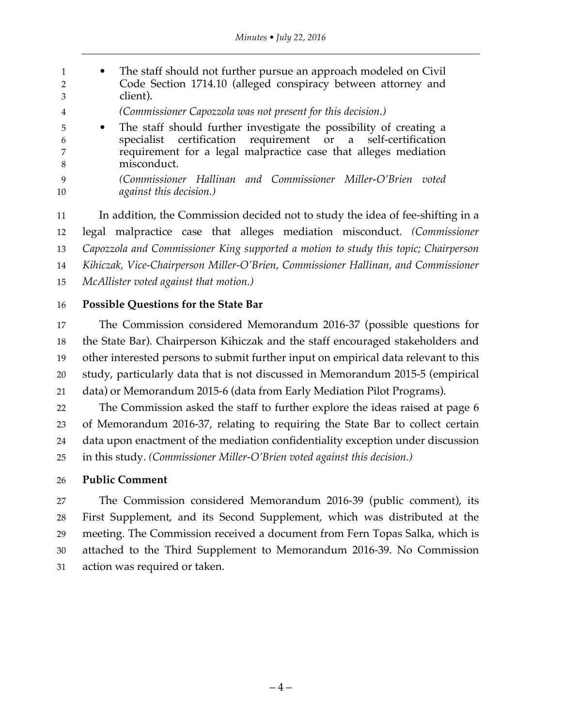1 • The staff should not further pursue an approach modeled on Civil Code Section 1714.10 (alleged conspiracy between attorney and client). *(Commissioner Capozzola was not present for this decision.)* • The staff should further investigate the possibility of creating a specialist certification requirement or a self-certification requirement for a legal malpractice case that alleges mediation misconduct. *(Commissioner Hallinan and Commissioner Miller-O'Brien voted against this decision.)* In addition, the Commission decided not to study the idea of fee-shifting in a legal malpractice case that alleges mediation misconduct. *(Commissioner* 

 *Capozzola and Commissioner King supported a motion to study this topic; Chairperson Kihiczak, Vice-Chairperson Miller-O'Brien, Commissioner Hallinan, and Commissioner*

*McAllister voted against that motion.)*

## **Possible Questions for the State Bar**

 The Commission considered Memorandum 2016-37 (possible questions for the State Bar). Chairperson Kihiczak and the staff encouraged stakeholders and other interested persons to submit further input on empirical data relevant to this study, particularly data that is not discussed in Memorandum 2015-5 (empirical data) or Memorandum 2015-6 (data from Early Mediation Pilot Programs).

 The Commission asked the staff to further explore the ideas raised at page 6 of Memorandum 2016-37, relating to requiring the State Bar to collect certain data upon enactment of the mediation confidentiality exception under discussion in this study. *(Commissioner Miller-O'Brien voted against this decision.)*

## **Public Comment**

 The Commission considered Memorandum 2016-39 (public comment), its First Supplement, and its Second Supplement, which was distributed at the meeting. The Commission received a document from Fern Topas Salka, which is attached to the Third Supplement to Memorandum 2016-39. No Commission action was required or taken.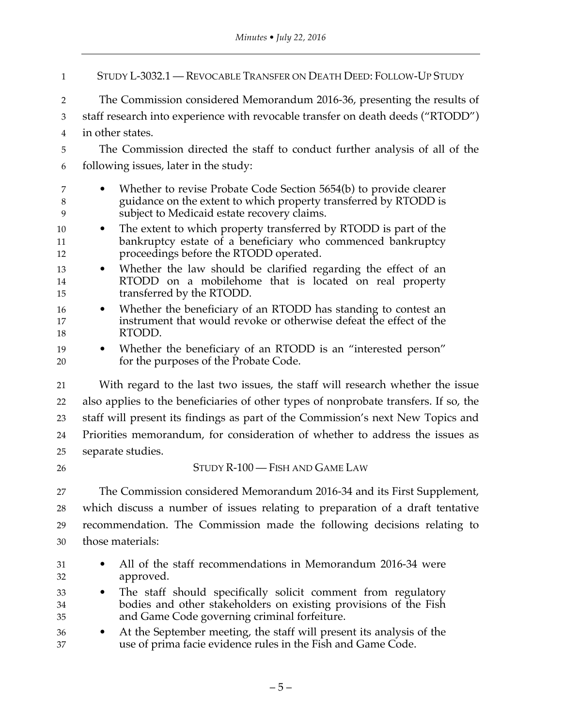| $\mathbf{1}$   | STUDY L-3032.1 — REVOCABLE TRANSFER ON DEATH DEED: FOLLOW-UP STUDY                                                                                                                                |  |
|----------------|---------------------------------------------------------------------------------------------------------------------------------------------------------------------------------------------------|--|
| 2              | The Commission considered Memorandum 2016-36, presenting the results of                                                                                                                           |  |
| 3              | staff research into experience with revocable transfer on death deeds ("RTODD")                                                                                                                   |  |
| 4              | in other states.                                                                                                                                                                                  |  |
| 5              | The Commission directed the staff to conduct further analysis of all of the                                                                                                                       |  |
| 6              | following issues, later in the study:                                                                                                                                                             |  |
| 7<br>8<br>9    | Whether to revise Probate Code Section 5654(b) to provide clearer<br>$\bullet$<br>guidance on the extent to which property transferred by RTODD is<br>subject to Medicaid estate recovery claims. |  |
| 10<br>11<br>12 | The extent to which property transferred by RTODD is part of the<br>$\bullet$<br>bankruptcy estate of a beneficiary who commenced bankruptcy<br>proceedings before the RTODD operated.            |  |
| 13<br>14<br>15 | Whether the law should be clarified regarding the effect of an<br>$\bullet$<br>RTODD on a mobilehome that is located on real property<br>transferred by the RTODD.                                |  |
| 16<br>17<br>18 | Whether the beneficiary of an RTODD has standing to contest an<br>$\bullet$<br>instrument that would revoke or otherwise defeat the effect of the<br>RTODD.                                       |  |
| 19<br>20       | Whether the beneficiary of an RTODD is an "interested person"<br>$\bullet$<br>for the purposes of the Probate Code.                                                                               |  |
| 21             | With regard to the last two issues, the staff will research whether the issue                                                                                                                     |  |
| 22             | also applies to the beneficiaries of other types of nonprobate transfers. If so, the                                                                                                              |  |
| 23             | staff will present its findings as part of the Commission's next New Topics and                                                                                                                   |  |
| 24             | Priorities memorandum, for consideration of whether to address the issues as                                                                                                                      |  |
| 25             | separate studies.                                                                                                                                                                                 |  |
| 26             | STUDY R-100 - FISH AND GAME LAW                                                                                                                                                                   |  |
| 27             | The Commission considered Memorandum 2016-34 and its First Supplement,                                                                                                                            |  |
| 28             | which discuss a number of issues relating to preparation of a draft tentative                                                                                                                     |  |
| 29             | recommendation. The Commission made the following decisions relating to                                                                                                                           |  |
| 30             | those materials:                                                                                                                                                                                  |  |
| 31<br>32       | All of the staff recommendations in Memorandum 2016-34 were<br>approved.                                                                                                                          |  |
| 33<br>34<br>35 | The staff should specifically solicit comment from regulatory<br>$\bullet$<br>bodies and other stakeholders on existing provisions of the Fish<br>and Game Code governing criminal forfeiture.    |  |
| 36<br>37       | At the September meeting, the staff will present its analysis of the<br>$\bullet$<br>use of prima facie evidence rules in the Fish and Game Code.                                                 |  |